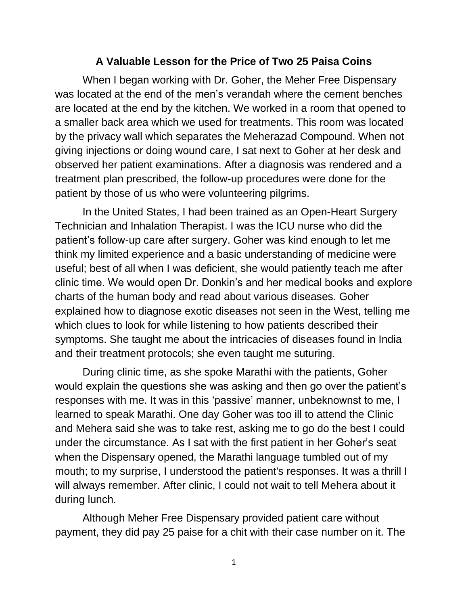## **A Valuable Lesson for the Price of Two 25 Paisa Coins**

When I began working with Dr. Goher, the Meher Free Dispensary was located at the end of the men's verandah where the cement benches are located at the end by the kitchen. We worked in a room that opened to a smaller back area which we used for treatments. This room was located by the privacy wall which separates the Meherazad Compound. When not giving injections or doing wound care, I sat next to Goher at her desk and observed her patient examinations. After a diagnosis was rendered and a treatment plan prescribed, the follow-up procedures were done for the patient by those of us who were volunteering pilgrims.

In the United States, I had been trained as an Open-Heart Surgery Technician and Inhalation Therapist. I was the ICU nurse who did the patient's follow-up care after surgery. Goher was kind enough to let me think my limited experience and a basic understanding of medicine were useful; best of all when I was deficient, she would patiently teach me after clinic time. We would open Dr. Donkin's and her medical books and explore charts of the human body and read about various diseases. Goher explained how to diagnose exotic diseases not seen in the West, telling me which clues to look for while listening to how patients described their symptoms. She taught me about the intricacies of diseases found in India and their treatment protocols; she even taught me suturing.

During clinic time, as she spoke Marathi with the patients, Goher would explain the questions she was asking and then go over the patient's responses with me. It was in this 'passive' manner, unbeknownst to me, I learned to speak Marathi. One day Goher was too ill to attend the Clinic and Mehera said she was to take rest, asking me to go do the best I could under the circumstance. As I sat with the first patient in her Goher's seat when the Dispensary opened, the Marathi language tumbled out of my mouth; to my surprise, I understood the patient's responses. It was a thrill I will always remember. After clinic, I could not wait to tell Mehera about it during lunch.

Although Meher Free Dispensary provided patient care without payment, they did pay 25 paise for a chit with their case number on it. The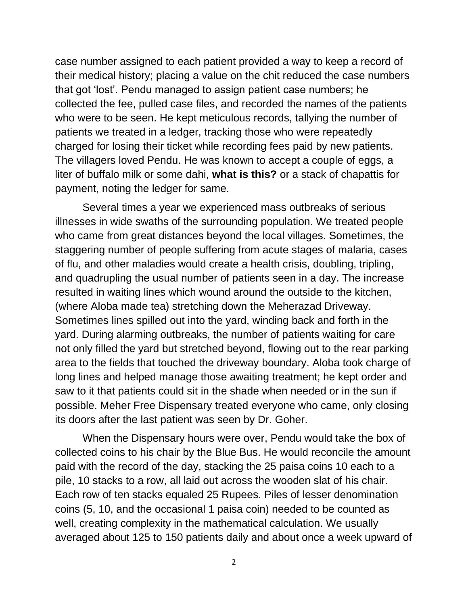case number assigned to each patient provided a way to keep a record of their medical history; placing a value on the chit reduced the case numbers that got 'lost'. Pendu managed to assign patient case numbers; he collected the fee, pulled case files, and recorded the names of the patients who were to be seen. He kept meticulous records, tallying the number of patients we treated in a ledger, tracking those who were repeatedly charged for losing their ticket while recording fees paid by new patients. The villagers loved Pendu. He was known to accept a couple of eggs, a liter of buffalo milk or some dahi, **what is this?** or a stack of chapattis for payment, noting the ledger for same.

Several times a year we experienced mass outbreaks of serious illnesses in wide swaths of the surrounding population. We treated people who came from great distances beyond the local villages. Sometimes, the staggering number of people suffering from acute stages of malaria, cases of flu, and other maladies would create a health crisis, doubling, tripling, and quadrupling the usual number of patients seen in a day. The increase resulted in waiting lines which wound around the outside to the kitchen, (where Aloba made tea) stretching down the Meherazad Driveway. Sometimes lines spilled out into the yard, winding back and forth in the yard. During alarming outbreaks, the number of patients waiting for care not only filled the yard but stretched beyond, flowing out to the rear parking area to the fields that touched the driveway boundary. Aloba took charge of long lines and helped manage those awaiting treatment; he kept order and saw to it that patients could sit in the shade when needed or in the sun if possible. Meher Free Dispensary treated everyone who came, only closing its doors after the last patient was seen by Dr. Goher.

When the Dispensary hours were over, Pendu would take the box of collected coins to his chair by the Blue Bus. He would reconcile the amount paid with the record of the day, stacking the 25 paisa coins 10 each to a pile, 10 stacks to a row, all laid out across the wooden slat of his chair. Each row of ten stacks equaled 25 Rupees. Piles of lesser denomination coins (5, 10, and the occasional 1 paisa coin) needed to be counted as well, creating complexity in the mathematical calculation. We usually averaged about 125 to 150 patients daily and about once a week upward of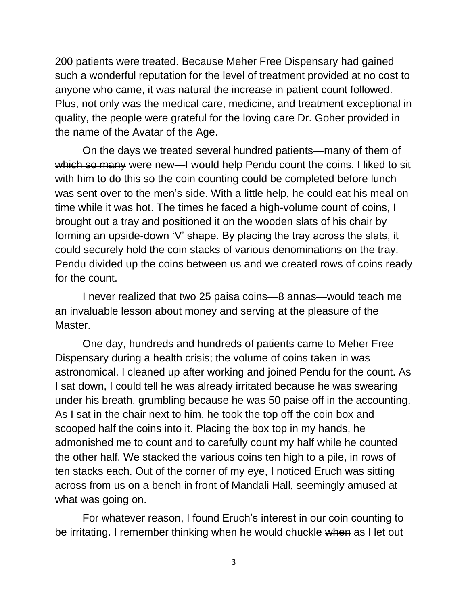200 patients were treated. Because Meher Free Dispensary had gained such a wonderful reputation for the level of treatment provided at no cost to anyone who came, it was natural the increase in patient count followed. Plus, not only was the medical care, medicine, and treatment exceptional in quality, the people were grateful for the loving care Dr. Goher provided in the name of the Avatar of the Age.

On the days we treated several hundred patients—many of them of which so many were new—I would help Pendu count the coins. I liked to sit with him to do this so the coin counting could be completed before lunch was sent over to the men's side. With a little help, he could eat his meal on time while it was hot. The times he faced a high-volume count of coins, I brought out a tray and positioned it on the wooden slats of his chair by forming an upside-down 'V' shape. By placing the tray across the slats, it could securely hold the coin stacks of various denominations on the tray. Pendu divided up the coins between us and we created rows of coins ready for the count.

I never realized that two 25 paisa coins—8 annas—would teach me an invaluable lesson about money and serving at the pleasure of the Master.

One day, hundreds and hundreds of patients came to Meher Free Dispensary during a health crisis; the volume of coins taken in was astronomical. I cleaned up after working and joined Pendu for the count. As I sat down, I could tell he was already irritated because he was swearing under his breath, grumbling because he was 50 paise off in the accounting. As I sat in the chair next to him, he took the top off the coin box and scooped half the coins into it. Placing the box top in my hands, he admonished me to count and to carefully count my half while he counted the other half. We stacked the various coins ten high to a pile, in rows of ten stacks each. Out of the corner of my eye, I noticed Eruch was sitting across from us on a bench in front of Mandali Hall, seemingly amused at what was going on.

For whatever reason, I found Eruch's interest in our coin counting to be irritating. I remember thinking when he would chuckle when as I let out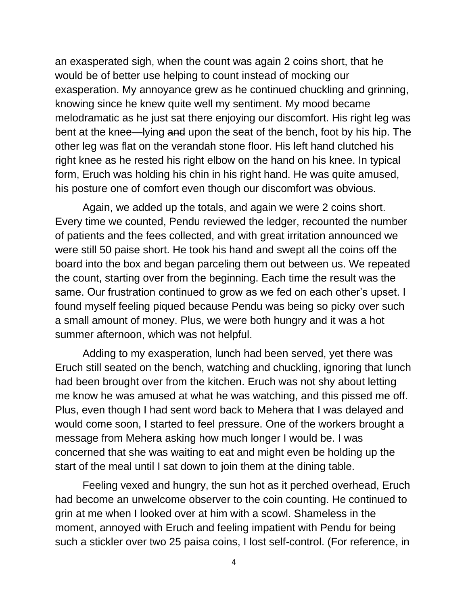an exasperated sigh, when the count was again 2 coins short, that he would be of better use helping to count instead of mocking our exasperation. My annoyance grew as he continued chuckling and grinning, knowing since he knew quite well my sentiment. My mood became melodramatic as he just sat there enjoying our discomfort. His right leg was bent at the knee—lying and upon the seat of the bench, foot by his hip. The other leg was flat on the verandah stone floor. His left hand clutched his right knee as he rested his right elbow on the hand on his knee. In typical form, Eruch was holding his chin in his right hand. He was quite amused, his posture one of comfort even though our discomfort was obvious.

Again, we added up the totals, and again we were 2 coins short. Every time we counted, Pendu reviewed the ledger, recounted the number of patients and the fees collected, and with great irritation announced we were still 50 paise short. He took his hand and swept all the coins off the board into the box and began parceling them out between us. We repeated the count, starting over from the beginning. Each time the result was the same. Our frustration continued to grow as we fed on each other's upset. I found myself feeling piqued because Pendu was being so picky over such a small amount of money. Plus, we were both hungry and it was a hot summer afternoon, which was not helpful.

Adding to my exasperation, lunch had been served, yet there was Eruch still seated on the bench, watching and chuckling, ignoring that lunch had been brought over from the kitchen. Eruch was not shy about letting me know he was amused at what he was watching, and this pissed me off. Plus, even though I had sent word back to Mehera that I was delayed and would come soon, I started to feel pressure. One of the workers brought a message from Mehera asking how much longer I would be. I was concerned that she was waiting to eat and might even be holding up the start of the meal until I sat down to join them at the dining table.

Feeling vexed and hungry, the sun hot as it perched overhead, Eruch had become an unwelcome observer to the coin counting. He continued to grin at me when I looked over at him with a scowl. Shameless in the moment, annoyed with Eruch and feeling impatient with Pendu for being such a stickler over two 25 paisa coins, I lost self-control. (For reference, in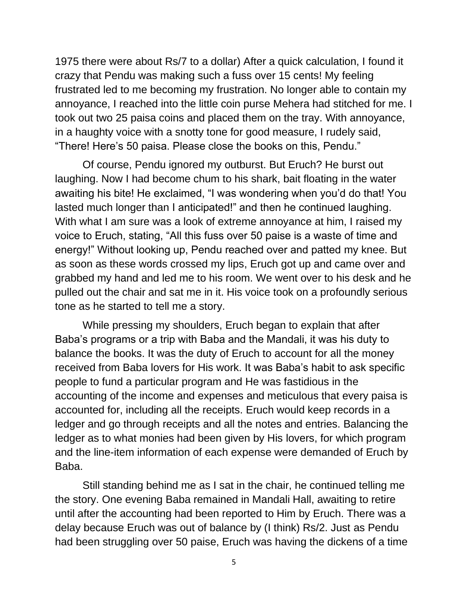1975 there were about Rs/7 to a dollar) After a quick calculation, I found it crazy that Pendu was making such a fuss over 15 cents! My feeling frustrated led to me becoming my frustration. No longer able to contain my annoyance, I reached into the little coin purse Mehera had stitched for me. I took out two 25 paisa coins and placed them on the tray. With annoyance, in a haughty voice with a snotty tone for good measure, I rudely said, "There! Here's 50 paisa. Please close the books on this, Pendu."

Of course, Pendu ignored my outburst. But Eruch? He burst out laughing. Now I had become chum to his shark, bait floating in the water awaiting his bite! He exclaimed, "I was wondering when you'd do that! You lasted much longer than I anticipated!" and then he continued laughing. With what I am sure was a look of extreme annoyance at him, I raised my voice to Eruch, stating, "All this fuss over 50 paise is a waste of time and energy!" Without looking up, Pendu reached over and patted my knee. But as soon as these words crossed my lips, Eruch got up and came over and grabbed my hand and led me to his room. We went over to his desk and he pulled out the chair and sat me in it. His voice took on a profoundly serious tone as he started to tell me a story.

While pressing my shoulders, Eruch began to explain that after Baba's programs or a trip with Baba and the Mandali, it was his duty to balance the books. It was the duty of Eruch to account for all the money received from Baba lovers for His work. It was Baba's habit to ask specific people to fund a particular program and He was fastidious in the accounting of the income and expenses and meticulous that every paisa is accounted for, including all the receipts. Eruch would keep records in a ledger and go through receipts and all the notes and entries. Balancing the ledger as to what monies had been given by His lovers, for which program and the line-item information of each expense were demanded of Eruch by Baba.

Still standing behind me as I sat in the chair, he continued telling me the story. One evening Baba remained in Mandali Hall, awaiting to retire until after the accounting had been reported to Him by Eruch. There was a delay because Eruch was out of balance by (I think) Rs/2. Just as Pendu had been struggling over 50 paise, Eruch was having the dickens of a time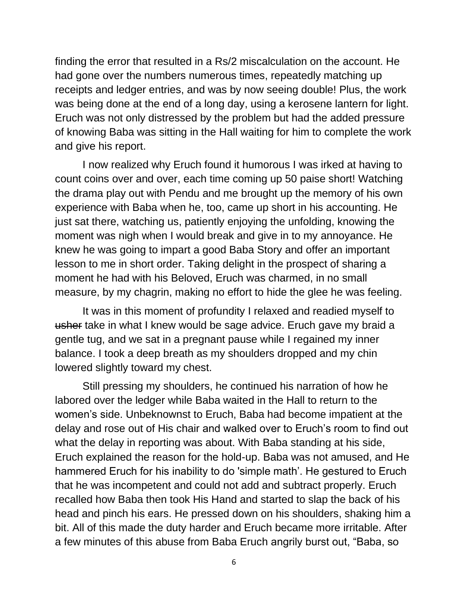finding the error that resulted in a Rs/2 miscalculation on the account. He had gone over the numbers numerous times, repeatedly matching up receipts and ledger entries, and was by now seeing double! Plus, the work was being done at the end of a long day, using a kerosene lantern for light. Eruch was not only distressed by the problem but had the added pressure of knowing Baba was sitting in the Hall waiting for him to complete the work and give his report.

I now realized why Eruch found it humorous I was irked at having to count coins over and over, each time coming up 50 paise short! Watching the drama play out with Pendu and me brought up the memory of his own experience with Baba when he, too, came up short in his accounting. He just sat there, watching us, patiently enjoying the unfolding, knowing the moment was nigh when I would break and give in to my annoyance. He knew he was going to impart a good Baba Story and offer an important lesson to me in short order. Taking delight in the prospect of sharing a moment he had with his Beloved, Eruch was charmed, in no small measure, by my chagrin, making no effort to hide the glee he was feeling.

It was in this moment of profundity I relaxed and readied myself to usher take in what I knew would be sage advice. Eruch gave my braid a gentle tug, and we sat in a pregnant pause while I regained my inner balance. I took a deep breath as my shoulders dropped and my chin lowered slightly toward my chest.

Still pressing my shoulders, he continued his narration of how he labored over the ledger while Baba waited in the Hall to return to the women's side. Unbeknownst to Eruch, Baba had become impatient at the delay and rose out of His chair and walked over to Eruch's room to find out what the delay in reporting was about. With Baba standing at his side, Eruch explained the reason for the hold-up. Baba was not amused, and He hammered Eruch for his inability to do 'simple math'. He gestured to Eruch that he was incompetent and could not add and subtract properly. Eruch recalled how Baba then took His Hand and started to slap the back of his head and pinch his ears. He pressed down on his shoulders, shaking him a bit. All of this made the duty harder and Eruch became more irritable. After a few minutes of this abuse from Baba Eruch angrily burst out, "Baba, so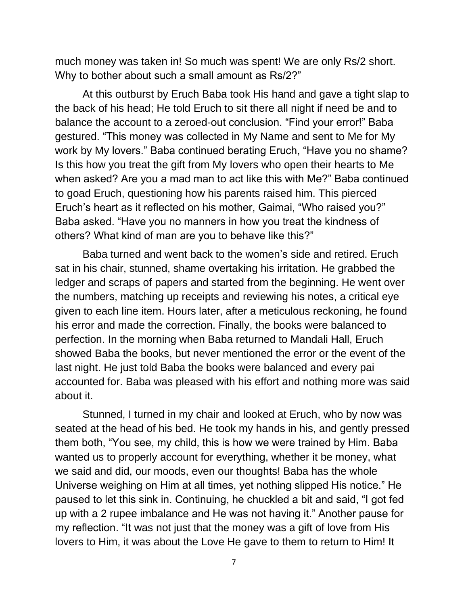much money was taken in! So much was spent! We are only Rs/2 short. Why to bother about such a small amount as Rs/2?"

At this outburst by Eruch Baba took His hand and gave a tight slap to the back of his head; He told Eruch to sit there all night if need be and to balance the account to a zeroed-out conclusion. "Find your error!" Baba gestured. "This money was collected in My Name and sent to Me for My work by My lovers." Baba continued berating Eruch, "Have you no shame? Is this how you treat the gift from My lovers who open their hearts to Me when asked? Are you a mad man to act like this with Me?" Baba continued to goad Eruch, questioning how his parents raised him. This pierced Eruch's heart as it reflected on his mother, Gaimai, "Who raised you?" Baba asked. "Have you no manners in how you treat the kindness of others? What kind of man are you to behave like this?"

Baba turned and went back to the women's side and retired. Eruch sat in his chair, stunned, shame overtaking his irritation. He grabbed the ledger and scraps of papers and started from the beginning. He went over the numbers, matching up receipts and reviewing his notes, a critical eye given to each line item. Hours later, after a meticulous reckoning, he found his error and made the correction. Finally, the books were balanced to perfection. In the morning when Baba returned to Mandali Hall, Eruch showed Baba the books, but never mentioned the error or the event of the last night. He just told Baba the books were balanced and every pai accounted for. Baba was pleased with his effort and nothing more was said about it.

Stunned, I turned in my chair and looked at Eruch, who by now was seated at the head of his bed. He took my hands in his, and gently pressed them both, "You see, my child, this is how we were trained by Him. Baba wanted us to properly account for everything, whether it be money, what we said and did, our moods, even our thoughts! Baba has the whole Universe weighing on Him at all times, yet nothing slipped His notice." He paused to let this sink in. Continuing, he chuckled a bit and said, "I got fed up with a 2 rupee imbalance and He was not having it." Another pause for my reflection. "It was not just that the money was a gift of love from His lovers to Him, it was about the Love He gave to them to return to Him! It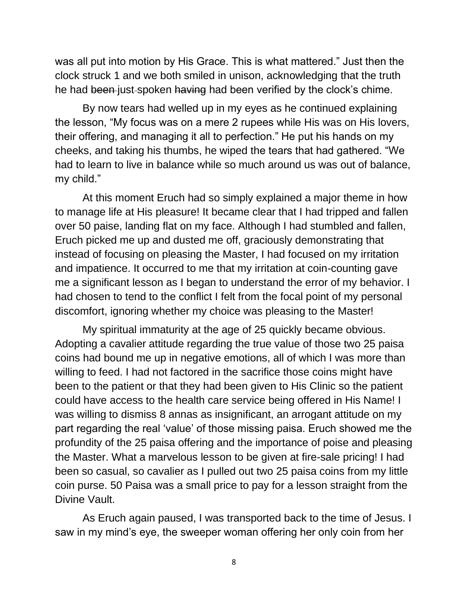was all put into motion by His Grace. This is what mattered." Just then the clock struck 1 and we both smiled in unison, acknowledging that the truth he had been just-spoken having had been verified by the clock's chime.

By now tears had welled up in my eyes as he continued explaining the lesson, "My focus was on a mere 2 rupees while His was on His lovers, their offering, and managing it all to perfection." He put his hands on my cheeks, and taking his thumbs, he wiped the tears that had gathered. "We had to learn to live in balance while so much around us was out of balance, my child."

At this moment Eruch had so simply explained a major theme in how to manage life at His pleasure! It became clear that I had tripped and fallen over 50 paise, landing flat on my face. Although I had stumbled and fallen, Eruch picked me up and dusted me off, graciously demonstrating that instead of focusing on pleasing the Master, I had focused on my irritation and impatience. It occurred to me that my irritation at coin-counting gave me a significant lesson as I began to understand the error of my behavior. I had chosen to tend to the conflict I felt from the focal point of my personal discomfort, ignoring whether my choice was pleasing to the Master!

My spiritual immaturity at the age of 25 quickly became obvious. Adopting a cavalier attitude regarding the true value of those two 25 paisa coins had bound me up in negative emotions, all of which I was more than willing to feed. I had not factored in the sacrifice those coins might have been to the patient or that they had been given to His Clinic so the patient could have access to the health care service being offered in His Name! I was willing to dismiss 8 annas as insignificant, an arrogant attitude on my part regarding the real 'value' of those missing paisa. Eruch showed me the profundity of the 25 paisa offering and the importance of poise and pleasing the Master. What a marvelous lesson to be given at fire-sale pricing! I had been so casual, so cavalier as I pulled out two 25 paisa coins from my little coin purse. 50 Paisa was a small price to pay for a lesson straight from the Divine Vault.

As Eruch again paused, I was transported back to the time of Jesus. I saw in my mind's eye, the sweeper woman offering her only coin from her